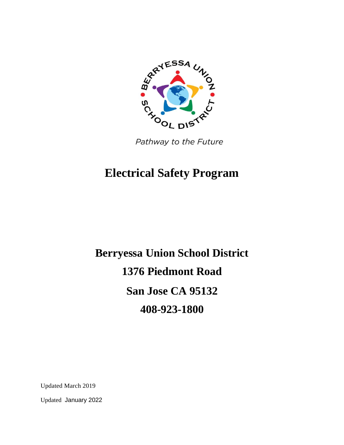

Pathway to the Future

# **Electrical Safety Program**

**Berryessa Union School District 1376 Piedmont Road San Jose CA 95132 408-923-1800**

Updated March 2019

Updated January 2022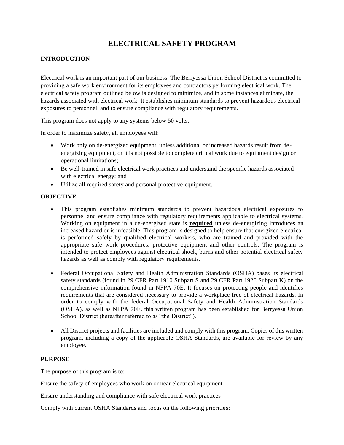## **ELECTRICAL SAFETY PROGRAM**

### **INTRODUCTION**

Electrical work is an important part of our business. The Berryessa Union School District is committed to providing a safe work environment for its employees and contractors performing electrical work. The electrical safety program outlined below is designed to minimize, and in some instances eliminate, the hazards associated with electrical work. It establishes minimum standards to prevent hazardous electrical exposures to personnel, and to ensure compliance with regulatory requirements.

This program does not apply to any systems below 50 volts.

In order to maximize safety, all employees will:

- Work only on de-energized equipment, unless additional or increased hazards result from deenergizing equipment, or it is not possible to complete critical work due to equipment design or operational limitations;
- Be well-trained in safe electrical work practices and understand the specific hazards associated with electrical energy; and
- Utilize all required safety and personal protective equipment.

#### **OBJECTIVE**

- This program establishes minimum standards to prevent hazardous electrical exposures to personnel and ensure compliance with regulatory requirements applicable to electrical systems. Working on equipment in a de-energized state is **required** unless de-energizing introduces an increased hazard or is infeasible. This program is designed to help ensure that energized electrical is performed safely by qualified electrical workers, who are trained and provided with the appropriate safe work procedures, protective equipment and other controls. The program is intended to protect employees against electrical shock, burns and other potential electrical safety hazards as well as comply with regulatory requirements.
- Federal Occupational Safety and Health Administration Standards (OSHA) bases its electrical safety standards (found in 29 CFR Part 1910 Subpart S and 29 CFR Part 1926 Subpart K) on the comprehensive information found in NFPA 70E. It focuses on protecting people and identifies requirements that are considered necessary to provide a workplace free of electrical hazards. In order to comply with the federal Occupational Safety and Health Administration Standards (OSHA), as well as NFPA 70E, this written program has been established for Berryessa Union School District (hereafter referred to as "the District").
- All District projects and facilities are included and comply with this program. Copies of this written program, including a copy of the applicable OSHA Standards, are available for review by any employee.

#### **PURPOSE**

The purpose of this program is to:

Ensure the safety of employees who work on or near electrical equipment

Ensure understanding and compliance with safe electrical work practices

Comply with current OSHA Standards and focus on the following priorities: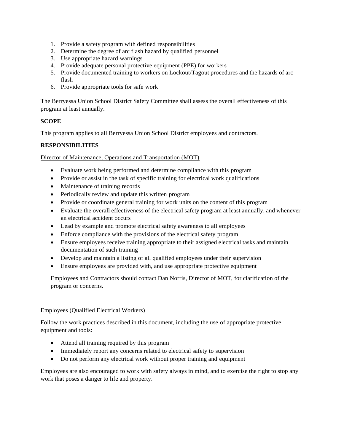- 1. Provide a safety program with defined responsibilities
- 2. Determine the degree of arc flash hazard by qualified personnel
- 3. Use appropriate hazard warnings
- 4. Provide adequate personal protective equipment (PPE) for workers
- 5. Provide documented training to workers on Lockout/Tagout procedures and the hazards of arc flash
- 6. Provide appropriate tools for safe work

The Berryessa Union School District Safety Committee shall assess the overall effectiveness of this program at least annually.

#### **SCOPE**

This program applies to all Berryessa Union School District employees and contractors.

## **RESPONSIBILITIES**

Director of Maintenance, Operations and Transportation (MOT)

- Evaluate work being performed and determine compliance with this program
- Provide or assist in the task of specific training for electrical work qualifications
- Maintenance of training records
- Periodically review and update this written program
- Provide or coordinate general training for work units on the content of this program
- Evaluate the overall effectiveness of the electrical safety program at least annually, and whenever an electrical accident occurs
- Lead by example and promote electrical safety awareness to all employees
- Enforce compliance with the provisions of the electrical safety program
- Ensure employees receive training appropriate to their assigned electrical tasks and maintain documentation of such training
- Develop and maintain a listing of all qualified employees under their supervision
- Ensure employees are provided with, and use appropriate protective equipment

Employees and Contractors should contact Dan Norris, Director of MOT, for clarification of the program or concerns.

#### Employees (Qualified Electrical Workers)

Follow the work practices described in this document, including the use of appropriate protective equipment and tools:

- Attend all training required by this program
- Immediately report any concerns related to electrical safety to supervision
- Do not perform any electrical work without proper training and equipment

Employees are also encouraged to work with safety always in mind, and to exercise the right to stop any work that poses a danger to life and property.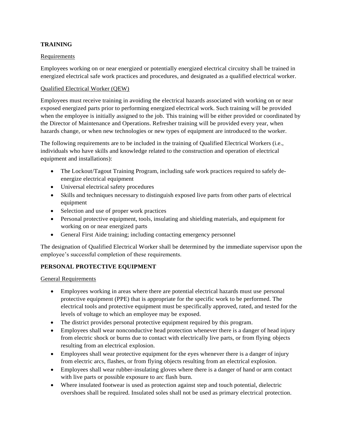#### **TRAINING**

#### Requirements

Employees working on or near energized or potentially energized electrical circuitry shall be trained in energized electrical safe work practices and procedures, and designated as a qualified electrical worker.

#### Qualified Electrical Worker (QEW)

Employees must receive training in avoiding the electrical hazards associated with working on or near exposed energized parts prior to performing energized electrical work. Such training will be provided when the employee is initially assigned to the job. This training will be either provided or coordinated by the Director of Maintenance and Operations. Refresher training will be provided every year, when hazards change, or when new technologies or new types of equipment are introduced to the worker.

The following requirements are to be included in the training of Qualified Electrical Workers (i.e., individuals who have skills and knowledge related to the construction and operation of electrical equipment and installations):

- The Lockout/Tagout Training Program, including safe work practices required to safely deenergize electrical equipment
- Universal electrical safety procedures
- Skills and techniques necessary to distinguish exposed live parts from other parts of electrical equipment
- Selection and use of proper work practices
- Personal protective equipment, tools, insulating and shielding materials, and equipment for working on or near energized parts
- General First Aide training; including contacting emergency personnel

The designation of Qualified Electrical Worker shall be determined by the immediate supervisor upon the employee's successful completion of these requirements.

#### **PERSONAL PROTECTIVE EQUIPMENT**

General Requirements

- Employees working in areas where there are potential electrical hazards must use personal protective equipment (PPE) that is appropriate for the specific work to be performed. The electrical tools and protective equipment must be specifically approved, rated, and tested for the levels of voltage to which an employee may be exposed.
- The district provides personal protective equipment required by this program.
- Employees shall wear nonconductive head protection whenever there is a danger of head injury from electric shock or burns due to contact with electrically live parts, or from flying objects resulting from an electrical explosion.
- Employees shall wear protective equipment for the eyes whenever there is a danger of injury from electric arcs, flashes, or from flying objects resulting from an electrical explosion.
- Employees shall wear rubber-insulating gloves where there is a danger of hand or arm contact with live parts or possible exposure to arc flash burn.
- Where insulated footwear is used as protection against step and touch potential, dielectric overshoes shall be required. Insulated soles shall not be used as primary electrical protection.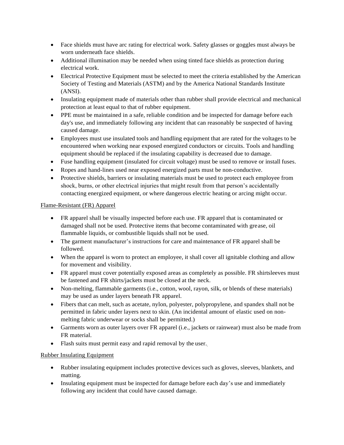- Face shields must have arc rating for electrical work. Safety glasses or goggles must always be worn underneath face shields.
- Additional illumination may be needed when using tinted face shields as protection during electrical work.
- Electrical Protective Equipment must be selected to meet the criteria established by the American Society of Testing and Materials (ASTM) and by the America National Standards Institute (ANSI).
- Insulating equipment made of materials other than rubber shall provide electrical and mechanical protection at least equal to that of rubber equipment.
- PPE must be maintained in a safe, reliable condition and be inspected for damage before each day's use, and immediately following any incident that can reasonably be suspected of having caused damage.
- Employees must use insulated tools and handling equipment that are rated for the voltages to be encountered when working near exposed energized conductors or circuits. Tools and handling equipment should be replaced if the insulating capability is decreased due to damage.
- Fuse handling equipment (insulated for circuit voltage) must be used to remove or install fuses.
- Ropes and hand-lines used near exposed energized parts must be non-conductive.
- Protective shields, barriers or insulating materials must be used to protect each employee from shock, burns, or other electrical injuries that might result from that person's accidentally contacting energized equipment, or where dangerous electric heating or arcing might occur.

#### Flame-Resistant (FR) Apparel

- FR apparel shall be visually inspected before each use. FR apparel that is contaminated or damaged shall not be used. Protective items that become contaminated with grease, oil flammable liquids, or combustible liquids shall not be used.
- The garment manufacturer's instructions for care and maintenance of FR apparel shall be followed.
- When the apparel is worn to protect an employee, it shall cover all ignitable clothing and allow for movement and visibility.
- FR apparel must cover potentially exposed areas as completely as possible. FR shirtsleeves must be fastened and FR shirts/jackets must be closed at the neck.
- Non-melting, flammable garments (i.e., cotton, wool, rayon, silk, or blends of these materials) may be used as under layers beneath FR apparel.
- Fibers that can melt, such as acetate, nylon, polyester, polypropylene, and spandex shall not be permitted in fabric under layers next to skin. (An incidental amount of elastic used on nonmelting fabric underwear or socks shall be permitted.)
- Garments worn as outer layers over FR apparel (i.e., jackets or rainwear) must also be made from FR material.
- Flash suits must permit easy and rapid removal by the user.

## Rubber Insulating Equipment

- Rubber insulating equipment includes protective devices such as gloves, sleeves, blankets, and matting.
- Insulating equipment must be inspected for damage before each day's use and immediately following any incident that could have caused damage.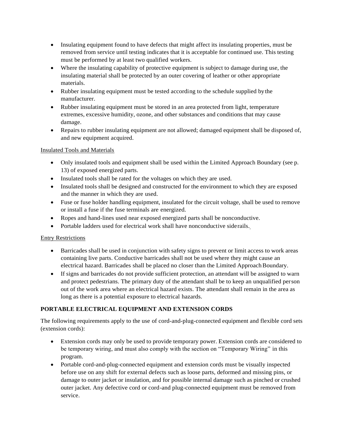- Insulating equipment found to have defects that might affect its insulating properties, must be removed from service until testing indicates that it is acceptable for continued use. This testing must be performed by at least two qualified workers.
- Where the insulating capability of protective equipment is subject to damage during use, the insulating material shall be protected by an outer covering of leather or other appropriate materials.
- Rubber insulating equipment must be tested according to the schedule supplied by the manufacturer.
- Rubber insulating equipment must be stored in an area protected from light, temperature extremes, excessive humidity, ozone, and other substances and conditions that may cause damage.
- Repairs to rubber insulating equipment are not allowed; damaged equipment shall be disposed of, and new equipment acquired.

#### Insulated Tools and Materials

- Only insulated tools and equipment shall be used within the Limited Approach Boundary (see p. 13) of exposed energized parts.
- Insulated tools shall be rated for the voltages on which they are used.
- Insulated tools shall be designed and constructed for the environment to which they are exposed and the manner in which they are used.
- Fuse or fuse holder handling equipment, insulated for the circuit voltage, shall be used to remove or install a fuse if the fuse terminals are energized.
- Ropes and hand-lines used near exposed energized parts shall be nonconductive.
- Portable ladders used for electrical work shall have nonconductive siderails.

## Entry Restrictions

- Barricades shall be used in conjunction with safety signs to prevent or limit access to work areas containing live parts. Conductive barricades shall not be used where they might cause an electrical hazard. Barricades shall be placed no closer than the Limited Approach Boundary.
- If signs and barricades do not provide sufficient protection, an attendant will be assigned to warn and protect pedestrians. The primary duty of the attendant shall be to keep an unqualified person out of the work area where an electrical hazard exists. The attendant shall remain in the area as long as there is a potential exposure to electrical hazards.

## **PORTABLE ELECTRICAL EQUIPMENT AND EXTENSION CORDS**

The following requirements apply to the use of cord-and-plug-connected equipment and flexible cord sets (extension cords):

- Extension cords may only be used to provide temporary power. Extension cords are considered to be temporary wiring, and must also comply with the section on "Temporary Wiring" in this program.
- Portable cord-and-plug-connected equipment and extension cords must be visually inspected before use on any shift for external defects such as loose parts, deformed and missing pins, or damage to outer jacket or insulation, and for possible internal damage such as pinched or crushed outer jacket. Any defective cord or cord-and plug-connected equipment must be removed from service.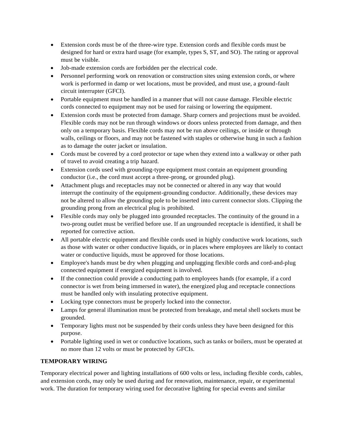- Extension cords must be of the three-wire type. Extension cords and flexible cords must be designed for hard or extra hard usage (for example, types S, ST, and SO). The rating or approval must be visible.
- Job-made extension cords are forbidden per the electrical code.
- Personnel performing work on renovation or construction sites using extension cords, or where work is performed in damp or wet locations, must be provided, and must use, a ground-fault circuit interrupter (GFCI).
- Portable equipment must be handled in a manner that will not cause damage. Flexible electric cords connected to equipment may not be used for raising or lowering the equipment.
- Extension cords must be protected from damage. Sharp corners and projections must be avoided. Flexible cords may not be run through windows or doors unless protected from damage, and then only on a temporary basis. Flexible cords may not be run above ceilings, or inside or through walls, ceilings or floors, and may not be fastened with staples or otherwise hung in such a fashion as to damage the outer jacket or insulation.
- Cords must be covered by a cord protector or tape when they extend into a walkway or other path of travel to avoid creating a trip hazard.
- Extension cords used with grounding-type equipment must contain an equipment grounding conductor (i.e., the cord must accept a three-prong, or grounded plug).
- Attachment plugs and receptacles may not be connected or altered in any way that would interrupt the continuity of the equipment-grounding conductor. Additionally, these devices may not be altered to allow the grounding pole to be inserted into current connector slots. Clipping the grounding prong from an electrical plug is prohibited.
- Flexible cords may only be plugged into grounded receptacles. The continuity of the ground in a two-prong outlet must be verified before use. If an ungrounded receptacle is identified, it shall be reported for corrective action.
- All portable electric equipment and flexible cords used in highly conductive work locations, such as those with water or other conductive liquids, or in places where employees are likely to contact water or conductive liquids, must be approved for those locations.
- Employee's hands must be dry when plugging and unplugging flexible cords and cord-and-plug connected equipment if energized equipment is involved.
- If the connection could provide a conducting path to employees hands (for example, if a cord connector is wet from being immersed in water), the energized plug and receptacle connections must be handled only with insulating protective equipment.
- Locking type connectors must be properly locked into the connector.
- Lamps for general illumination must be protected from breakage, and metal shell sockets must be grounded.
- Temporary lights must not be suspended by their cords unless they have been designed for this purpose.
- Portable lighting used in wet or conductive locations, such as tanks or boilers, must be operated at no more than 12 volts or must be protected by GFCIs.

## **TEMPORARY WIRING**

Temporary electrical power and lighting installations of 600 volts or less, including flexible cords, cables, and extension cords, may only be used during and for renovation, maintenance, repair, or experimental work. The duration for temporary wiring used for decorative lighting for special events and similar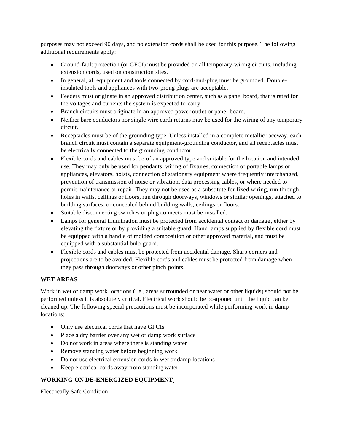purposes may not exceed 90 days, and no extension cords shall be used for this purpose. The following additional requirements apply:

- Ground-fault protection (or GFCI) must be provided on all temporary-wiring circuits, including extension cords, used on construction sites.
- In general, all equipment and tools connected by cord-and-plug must be grounded. Doubleinsulated tools and appliances with two-prong plugs are acceptable.
- Feeders must originate in an approved distribution center, such as a panel board, that is rated for the voltages and currents the system is expected to carry.
- Branch circuits must originate in an approved power outlet or panel board.
- Neither bare conductors nor single wire earth returns may be used for the wiring of any temporary circuit.
- Receptacles must be of the grounding type. Unless installed in a complete metallic raceway, each branch circuit must contain a separate equipment-grounding conductor, and all receptacles must be electrically connected to the grounding conductor.
- Flexible cords and cables must be of an approved type and suitable for the location and intended use. They may only be used for pendants, wiring of fixtures, connection of portable lamps or appliances, elevators, hoists, connection of stationary equipment where frequently interchanged, prevention of transmission of noise or vibration, data processing cables, or where needed to permit maintenance or repair. They may not be used as a substitute for fixed wiring, run through holes in walls, ceilings or floors, run through doorways, windows or similar openings, attached to building surfaces, or concealed behind building walls, ceilings or floors.
- Suitable disconnecting switches or plug connects must be installed.
- Lamps for general illumination must be protected from accidental contact or damage, either by elevating the fixture or by providing a suitable guard. Hand lamps supplied by flexible cord must be equipped with a handle of molded composition or other approved material, and must be equipped with a substantial bulb guard.
- Flexible cords and cables must be protected from accidental damage. Sharp corners and projections are to be avoided. Flexible cords and cables must be protected from damage when they pass through doorways or other pinch points.

## **WET AREAS**

Work in wet or damp work locations (i.e., areas surrounded or near water or other liquids) should not be performed unless it is absolutely critical. Electrical work should be postponed until the liquid can be cleaned up. The following special precautions must be incorporated while performing work in damp locations:

- Only use electrical cords that have GFCIs
- Place a dry barrier over any wet or damp work surface
- Do not work in areas where there is standing water
- Remove standing water before beginning work
- Do not use electrical extension cords in wet or damp locations
- Keep electrical cords away from standing water

## **WORKING ON DE-ENERGIZED EQUIPMENT**

Electrically Safe Condition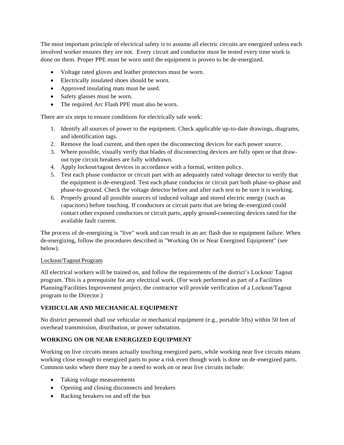The most important principle of electrical safety is to assume all electric circuits are energized unless each involved worker ensures they are not. Every circuit and conductor must be tested every time work is done on them. Proper PPE must be worn until the equipment is proven to be de-energized.

- Voltage rated gloves and leather protectors must be worn.
- Electrically insulated shoes should be worn.
- Approved insulating mats must be used.
- Safety glasses must be worn.
- The required Arc Flash PPE must also be worn.

There are six steps to ensure conditions for electrically safe work:

- 1. Identify all sources of power to the equipment. Check applicable up-to-date drawings, diagrams, and identification tags.
- 2. Remove the load current, and then open the disconnecting devices for each power source.
- 3. Where possible, visually verify that blades of disconnecting devices are fully open or that drawout type circuit breakers are fully withdrawn.
- 4. Apply lockout/tagout devices in accordance with a formal, written policy.
- 5. Test each phase conductor or circuit part with an adequately rated voltage detector to verify that the equipment is de-energized. Test each phase conductor or circuit part both phase-to-phase and phase-to-ground. Check the voltage detector before and after each test to be sure it is working.
- 6. Properly ground all possible sources of induced voltage and stored electric energy (such as capacitors) before touching. If conductors or circuit parts that are being de-energized could contact other exposed conductors or circuit parts, apply ground-connecting devices rated for the available fault current.

The process of de-energizing is "live" work and can result in an arc flash due to equipment failure. When de-energizing, follow the procedures described in "Working On or Near Energized Equipment" (see below).

#### Lockout/Tagout Program

All electrical workers will be trained on, and follow the requirements of the district's Lockout/ Tagout program. This is a prerequisite for any electrical work. (For work performed as part of a Facilities Planning/Facilities Improvement project, the contractor will provide verification of a Lockout/Tagout program to the Director.)

## **VEHICULAR AND MECHANICAL EQUIPMENT**

No district personnel shall use vehicular or mechanical equipment (e.g., portable lifts) within 50 feet of overhead transmission, distribution, or power substation.

## **WORKING ON OR NEAR ENERGIZED EQUIPMENT**

Working on live circuits means actually touching energized parts, while working near live circuits means working close enough to energized parts to pose a risk even though work is done on de-energized parts. Common tasks where there may be a need to work on or near live circuits include:

- Taking voltage measurements
- Opening and closing disconnects and breakers
- Racking breakers on and off the bus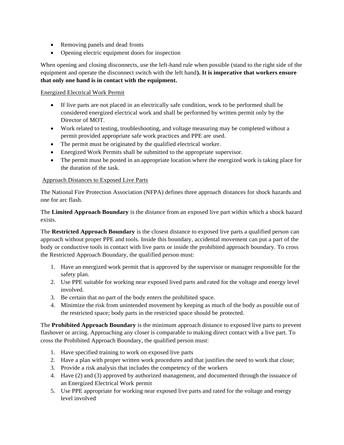- Removing panels and dead fronts
- Opening electric equipment doors for inspection

When opening and closing disconnects, use the left-hand rule when possible (stand to the right side of the equipment and operate the disconnect switch with the left hand**). It is imperative that workers ensure that only one hand is in contact with the equipment.**

### Energized Electrical Work Permit

- If live parts are not placed in an electrically safe condition, work to be performed shall be considered energized electrical work and shall be performed by written permit only by the Director of MOT.
- Work related to testing, troubleshooting, and voltage measuring may be completed without a permit provided appropriate safe work practices and PPE are used.
- The permit must be originated by the qualified electrical worker.
- Energized Work Permits shall be submitted to the appropriate supervisor.
- The permit must be posted in an appropriate location where the energized work is taking place for the duration of the task.

#### Approach Distances to Exposed Live Parts

The National Fire Protection Association (NFPA) defines three approach distances for shock hazards and one for arc flash.

The **Limited Approach Boundary** is the distance from an exposed live part within which a shock hazard exists.

The **Restricted Approach Boundary** is the closest distance to exposed live parts a qualified person can approach without proper PPE and tools. Inside this boundary, accidental movement can put a part of the body or conductive tools in contact with live parts or inside the prohibited approach boundary. To cross the Restricted Approach Boundary, the qualified person must:

- 1. Have an energized work permit that is approved by the supervisor or manager responsible for the safety plan.
- 2. Use PPE suitable for working near exposed lived parts and rated for the voltage and energy level involved.
- 3. Be certain that no part of the body enters the prohibited space.
- 4. Minimize the risk from unintended movement by keeping as much of the body as possible out of the restricted space; body parts in the restricted space should be protected.

The **Prohibited Approach Boundary** is the minimum approach distance to exposed live parts to prevent flashover or arcing. Approaching any closer is comparable to making direct contact with a live part. To cross the Prohibited Approach Boundary, the qualified person must:

- 1. Have specified training to work on exposed live parts
- 2. Have a plan with proper written work procedures and that justifies the need to work that close;
- 3. Provide a risk analysis that includes the competency of the workers
- 4. Have (2) and (3) approved by authorized management, and documented through the issuance of an Energized Electrical Work permit
- 5. Use PPE appropriate for working near exposed live parts and rated for the voltage and energy level involved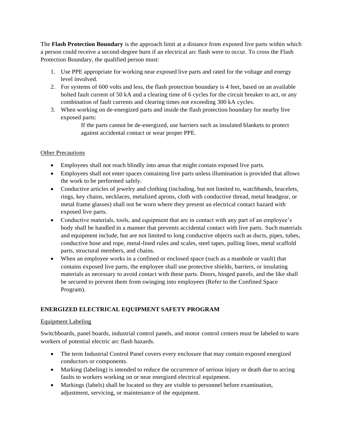The **Flash Protection Boundary** is the approach limit at a distance from exposed live parts within which a person could receive a second-degree burn if an electrical arc flash were to occur. To cross the Flash Protection Boundary, the qualified person must:

- 1. Use PPE appropriate for working near exposed live parts and rated for the voltage and energy level involved.
- 2. For systems of 600 volts and less, the flash protection boundary is 4 feet, based on an available bolted fault current of 50 kA and a clearing time of 6 cycles for the circuit breaker to act, or any combination of fault currents and clearing times not exceeding 300 kA cycles.
- 3. When working on de-energized parts and inside the flash protection boundary for nearby live exposed parts:

If the parts cannot be de-energized, use barriers such as insulated blankets to protect against accidental contact or wear proper PPE.

## Other Precautions

- Employees shall not reach blindly into areas that might contain exposed live parts.
- Employees shall not enter spaces containing live parts unless illumination is provided that allows the work to be performed safely.
- Conductive articles of jewelry and clothing (including, but not limited to, watchbands, bracelets, rings, key chains, necklaces, metalized aprons, cloth with conductive thread, metal headgear, or metal frame glasses) shall not be worn where they present an electrical contact hazard with exposed live parts.
- Conductive materials, tools, and equipment that are in contact with any part of an employee's body shall be handled in a manner that prevents accidental contact with live parts. Such materials and equipment include, but are not limited to long conductive objects such as ducts, pipes, tubes, conductive hose and rope, metal-lined rules and scales, steel tapes, pulling lines, metal scaffold parts, structural members, and chains.
- When an employee works in a confined or enclosed space (such as a manhole or vault) that contains exposed live parts, the employee shall use protective shields, barriers, or insulating materials as necessary to avoid contact with these parts. Doors, hinged panels, and the like shall be secured to prevent them from swinging into employees (Refer to the Confined Space Program).

## **ENERGIZED ELECTRICAL EQUIPMENT SAFETY PROGRAM**

#### Equipment Labeling

Switchboards, panel boards, industrial control panels, and motor control centers must be labeled to warn workers of potential electric arc flash hazards.

- The term Industrial Control Panel covers every enclosure that may contain exposed energized conductors or components.
- Marking (labeling) is intended to reduce the occurrence of serious injury or death due to arcing faults to workers working on or near energized electrical equipment.
- Markings (labels) shall be located so they are visible to personnel before examination, adjustment, servicing, or maintenance of the equipment.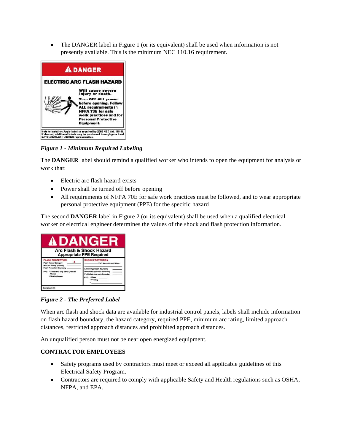• The DANGER label in Figure 1 (or its equivalent) shall be used when information is not presently available. This is the minimum NEC 110.16 requirement.



*Figure 1 - Minimum Required Labeling*

The **DANGER** label should remind a qualified worker who intends to open the equipment for analysis or work that:

- Electric arc flash hazard exists
- Power shall be turned off before opening
- All requirements of NFPA 70E for safe work practices must be followed, and to wear appropriate personal protective equipment (PPE) for the specific hazard

The second **DANGER** label in Figure 2 (or its equivalent) shall be used when a qualified electrical worker or electrical engineer determines the values of the shock and flash protection information.



*Figure 2 - The Preferred Label*

When arc flash and shock data are available for industrial control panels, labels shall include information on flash hazard boundary, the hazard category, required PPE, minimum arc rating, limited approach distances, restricted approach distances and prohibited approach distances.

An unqualified person must not be near open energized equipment.

#### **CONTRACTOR EMPLOYEES**

- Safety programs used by contractors must meet or exceed all applicable guidelines of this Electrical Safety Program.
- Contractors are required to comply with applicable Safety and Health regulations such as OSHA, NFPA, and EPA.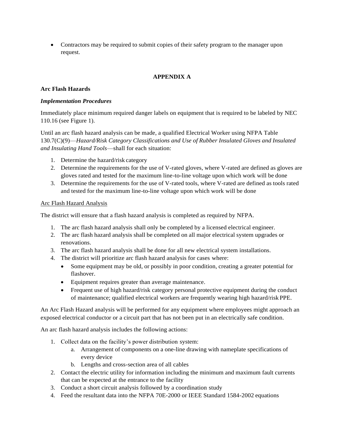Contractors may be required to submit copies of their safety program to the manager upon request.

## **APPENDIX A**

#### **Arc Flash Hazards**

#### *Implementation Procedures*

Immediately place minimum required danger labels on equipment that is required to be labeled by NEC 110.16 (see Figure 1).

Until an arc flash hazard analysis can be made, a qualified Electrical Worker using NFPA Table 130.7(C)(9)—*Hazard/Risk Category Classifications and Use of Rubber Insulated Gloves and Insulated and Insulating Hand Tools*—shall for each situation:

- 1. Determine the hazard/risk category
- 2. Determine the requirements for the use of V-rated gloves, where V-rated are defined as gloves are gloves rated and tested for the maximum line-to-line voltage upon which work will be done
- 3. Determine the requirements for the use of V-rated tools, where V-rated are defined as tools rated and tested for the maximum line-to-line voltage upon which work will be done

#### Arc Flash Hazard Analysis

The district will ensure that a flash hazard analysis is completed as required by NFPA.

- 1. The arc flash hazard analysis shall only be completed by a licensed electrical engineer.
- 2. The arc flash hazard analysis shall be completed on all major electrical system upgrades or renovations.
- 3. The arc flash hazard analysis shall be done for all new electrical system installations.
- 4. The district will prioritize arc flash hazard analysis for cases where:
	- Some equipment may be old, or possibly in poor condition, creating a greater potential for flashover.
	- Equipment requires greater than average maintenance.
	- Frequent use of high hazard/risk category personal protective equipment during the conduct of maintenance; qualified electrical workers are frequently wearing high hazard/risk PPE.

An Arc Flash Hazard analysis will be performed for any equipment where employees might approach an exposed electrical conductor or a circuit part that has not been put in an electrically safe condition.

An arc flash hazard analysis includes the following actions:

- 1. Collect data on the facility's power distribution system:
	- a. Arrangement of components on a one-line drawing with nameplate specifications of every device
	- b. Lengths and cross-section area of all cables
- 2. Contact the electric utility for information including the minimum and maximum fault currents that can be expected at the entrance to the facility
- 3. Conduct a short circuit analysis followed by a coordination study
- 4. Feed the resultant data into the NFPA 70E-2000 or IEEE Standard 1584-2002 equations